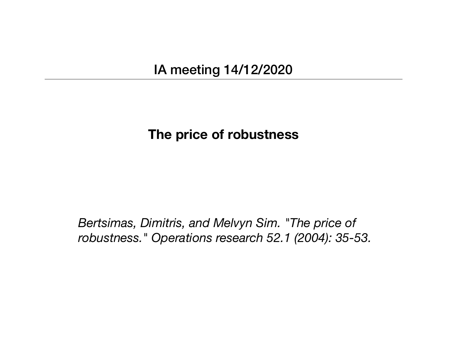# IA meeting 14/12/2020

### **The price of robustness**

*Bertsimas, Dimitris, and Melvyn Sim. "The price of robustness." Operations research 52.1 (2004): 35-53.*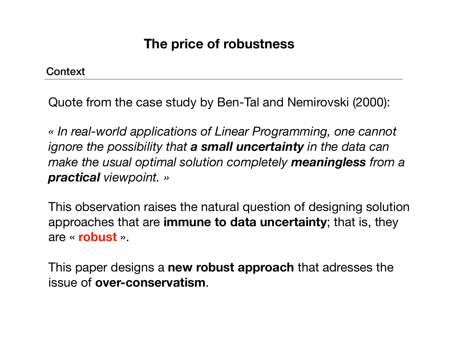**Context** 

Quote from the case study by Ben-Tal and Nemirovski (2000):

*« In real-world applications of Linear Programming, one cannot ignore the possibility that a small uncertainty in the data can make the usual optimal solution completely meaningless from a practical viewpoint. »*

This observation raises the natural question of designing solution approaches that are **immune to data uncertainty**; that is, they are « **robust** ».

This paper designs a **new robust approach** that adresses the issue of **over-conservatism**.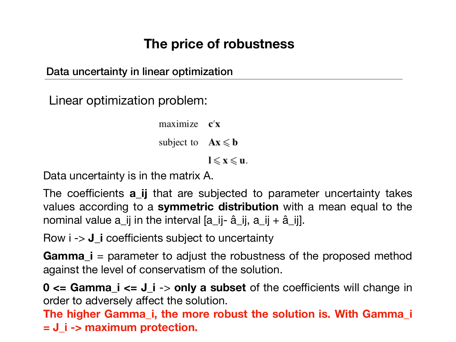Data uncertainty in linear optimization

Linear optimization problem:

 $maximize$   $$ subject to  $Ax \le b$ 

 $l \leqslant x \leqslant u$ .

Data uncertainty is in the matrix A.

The coefficients **a\_ij** that are subjected to parameter uncertainty takes values according to a **symmetric distribution** with a mean equal to the nominal value  $a_{ij}$  in the interval  $[a_{ij}-\hat{a}_{ij}, a_{ij}+\hat{a}_{ij}]$ .

Row i -> **J\_i** coefficients subject to uncertainty

**Gamma\_i** = parameter to adjust the robustness of the proposed method against the level of conservatism of the solution.

**0 <= Gamma\_i <= J\_i** -> **only a subset** of the coefficients will change in order to adversely affect the solution.

**The higher Gamma\_i, the more robust the solution is. With Gamma\_i = J\_i -> maximum protection.**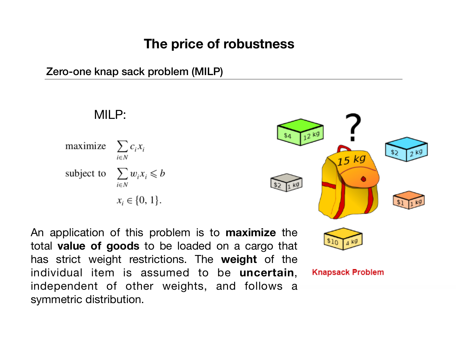Zero-one knap sack problem (MILP)

MILP: maximize  $\sum c_i x_i$  $i \in N$ subject to  $\sum w_i x_i \leq b$  $i \in N$  $x_i \in \{0, 1\}.$ 

An application of this problem is to **maximize** the total **value of goods** to be loaded on a cargo that has strict weight restrictions. The **weight** of the individual item is assumed to be **uncertain**, independent of other weights, and follows a symmetric distribution.

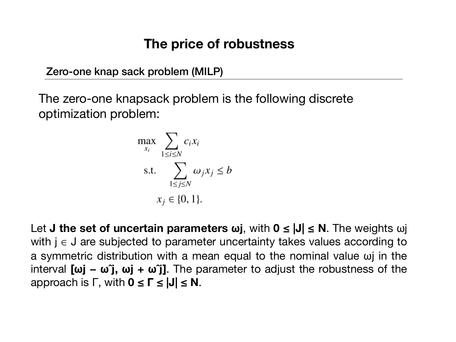Zero-one knap sack problem (MILP)

The zero-one knapsack problem is the following discrete optimization problem:

$$
\max_{x_i} \sum_{1 \le i \le N} c_i x_i
$$
  
s.t. 
$$
\sum_{1 \le j \le N} \omega_j x_j \le b
$$

$$
x_j \in \{0, 1\}.
$$

Let **J the set of uncertain parameters ωj**, with **0 ≤ |J| ≤ N**. The weights ωj with  $j \in J$  are subjected to parameter uncertainty takes values according to a symmetric distribution with a mean equal to the nominal value ωj in the interval **[ωj − ωˆj, ωj + ωˆj]**. The parameter to adjust the robustness of the approach is Γ, with **0 ≤ Γ ≤ |J| ≤ N**.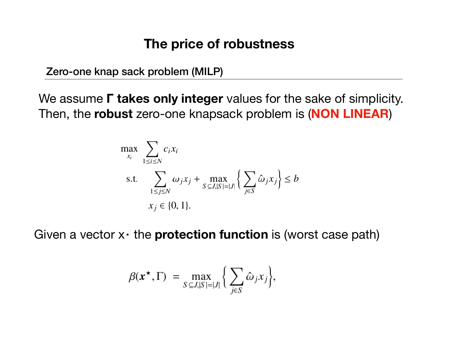Zero-one knap sack problem (MILP)

We assume **Γ takes only integer** values for the sake of simplicity. Then, the **robust** zero-one knapsack problem is (**NON LINEAR**)

$$
\max_{x_i} \sum_{1 \le i \le N} c_i x_i
$$
\n
$$
\text{s.t.} \sum_{1 \le j \le N} \omega_j x_j + \max_{S \subseteq J, |S| = |J|} \left\{ \sum_{j \in S} \hat{\omega}_j x_j \right\} \le b
$$
\n
$$
x_j \in \{0, 1\}.
$$

Given a vector  $x \cdot$  the **protection function** is (worst case path)

$$
\beta(x^{\star}, \Gamma) = \max_{S \subseteq J, |S| = |J|} \left\{ \sum_{j \in S} \hat{\omega}_j x_j \right\},\
$$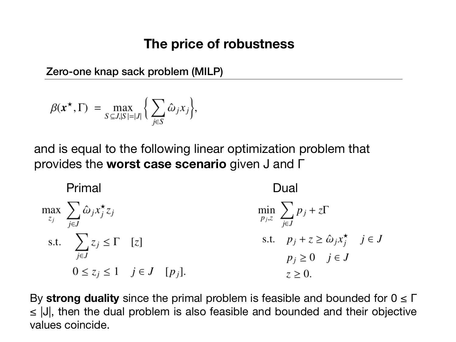Zero-one knap sack problem (MILP)

$$
\beta(x^{\star}, \Gamma) = \max_{S \subseteq J, |S| = |J|} \left\{ \sum_{j \in S} \hat{\omega}_j x_j \right\},\
$$

and is equal to the following linear optimization problem that provides the **worst case scenario** given J and Γ

| Primal                                                     | Dual                                          |      |                                                     |
|------------------------------------------------------------|-----------------------------------------------|------|-----------------------------------------------------|
| $\max_{z_j} \sum_{j \in J} \hat{\omega}_j x_j^{\star} z_j$ | $\min_{p_j, z} \sum_{j \in J} p_j + z \Gamma$ |      |                                                     |
| s.t.                                                       | $\sum_{j \in J} z_j \leq \Gamma$ [z]          | s.t. | $p_j + z \geq \hat{\omega}_j x_j^{\star}$ $j \in J$ |
| $0 \leq z_j \leq 1$ $j \in J$ [p_j].                       | $z \geq 0.$                                   |      |                                                     |

By **strong duality** since the primal problem is feasible and bounded for 0 ≤ Γ ≤ |J|, then the dual problem is also feasible and bounded and their objective values coincide.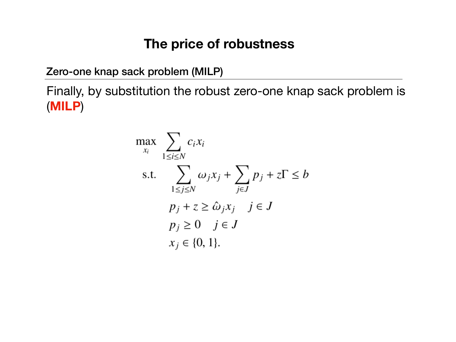Zero-one knap sack problem (MILP)

Finally, by substitution the robust zero-one knap sack problem is (**MILP**)

$$
\max_{x_i} \sum_{1 \le i \le N} c_i x_i
$$
\n
$$
\text{s.t.} \sum_{1 \le j \le N} \omega_j x_j + \sum_{j \in J} p_j + z \Gamma \le b
$$
\n
$$
p_j + z \ge \hat{\omega}_j x_j \quad j \in J
$$
\n
$$
p_j \ge 0 \quad j \in J
$$
\n
$$
x_j \in \{0, 1\}.
$$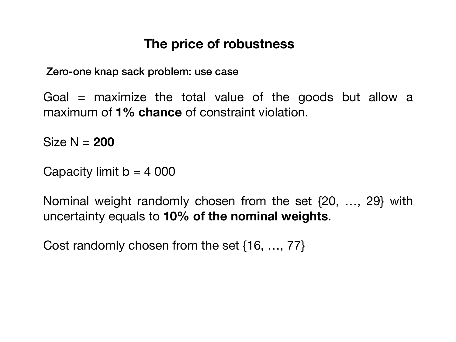Zero-one knap sack problem: use case

Goal  $=$  maximize the total value of the goods but allow a maximum of **1% chance** of constraint violation.

Size N = **200**

Capacity limit  $b = 4000$ 

Nominal weight randomly chosen from the set {20, …, 29} with uncertainty equals to **10% of the nominal weights**.

Cost randomly chosen from the set {16, …, 77}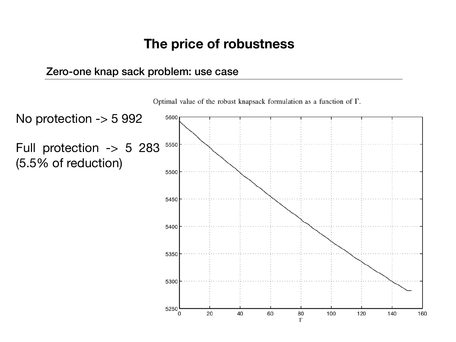#### Zero-one knap sack problem: use case



Optimal value of the robust knapsack formulation as a function of  $\Gamma$ .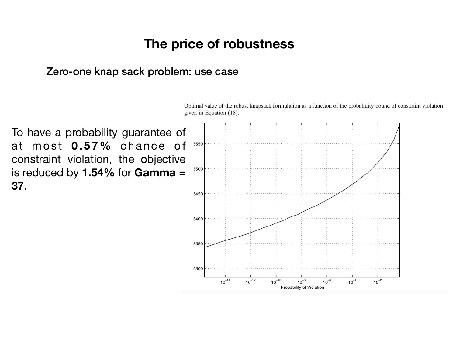#### Zero-one knap sack problem: use case

To have a probability guarantee of at most 0.57% chance of 5550 constraint violation, the objective 5500 is reduced by **1.54%** for **Gamma = 37**.5450 5400 5350

5300

 $10^{-14}$ 

 $10^{-12}$ 

Optimal value of the robust knapsack formulation as a function of the probability bound of constraint violation given in Equation (18).

 $10^{-10}$ 

 $10^{-8}$ 

Probability of Violation

 $10^{-6}$ 

 $10^{-4}$ 

 $10^{-2}$